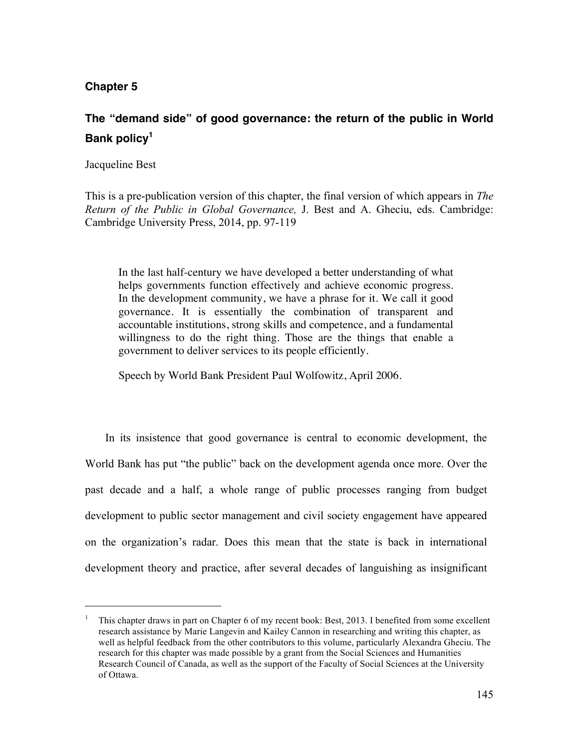# **Chapter 5**

# **The "demand side" of good governance: the return of the public in World Bank policy<sup>1</sup>**

### Jacqueline Best

This is a pre-publication version of this chapter, the final version of which appears in *The Return of the Public in Global Governance,* J. Best and A. Gheciu, eds. Cambridge: Cambridge University Press, 2014, pp. 97-119

In the last half-century we have developed a better understanding of what helps governments function effectively and achieve economic progress. In the development community, we have a phrase for it. We call it good governance. It is essentially the combination of transparent and accountable institutions, strong skills and competence, and a fundamental willingness to do the right thing. Those are the things that enable a government to deliver services to its people efficiently.

Speech by World Bank President Paul Wolfowitz, April 2006.

In its insistence that good governance is central to economic development, the World Bank has put "the public" back on the development agenda once more. Over the past decade and a half, a whole range of public processes ranging from budget development to public sector management and civil society engagement have appeared on the organization's radar. Does this mean that the state is back in international development theory and practice, after several decades of languishing as insignificant

<sup>&</sup>lt;sup>1</sup> This chapter draws in part on Chapter 6 of my recent book: Best, 2013. I benefited from some excellent research assistance by Marie Langevin and Kailey Cannon in researching and writing this chapter, as well as helpful feedback from the other contributors to this volume, particularly Alexandra Gheciu. The research for this chapter was made possible by a grant from the Social Sciences and Humanities Research Council of Canada, as well as the support of the Faculty of Social Sciences at the University of Ottawa.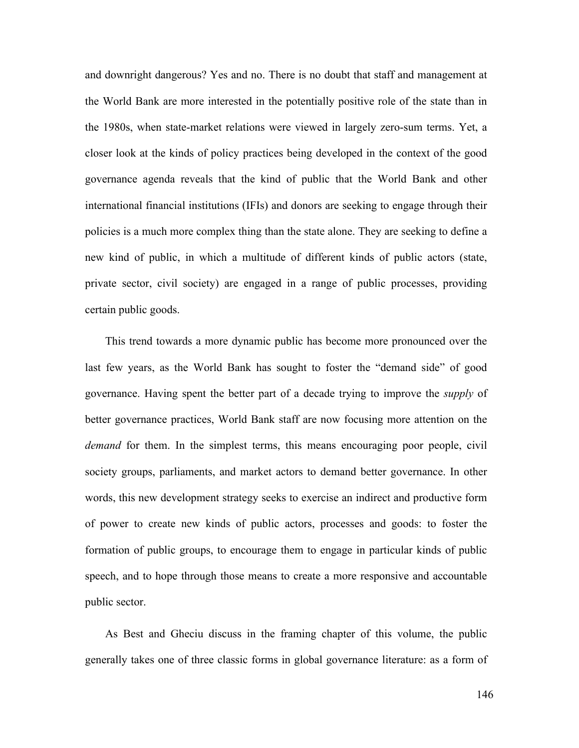and downright dangerous? Yes and no. There is no doubt that staff and management at the World Bank are more interested in the potentially positive role of the state than in the 1980s, when state-market relations were viewed in largely zero-sum terms. Yet, a closer look at the kinds of policy practices being developed in the context of the good governance agenda reveals that the kind of public that the World Bank and other international financial institutions (IFIs) and donors are seeking to engage through their policies is a much more complex thing than the state alone. They are seeking to define a new kind of public, in which a multitude of different kinds of public actors (state, private sector, civil society) are engaged in a range of public processes, providing certain public goods.

This trend towards a more dynamic public has become more pronounced over the last few years, as the World Bank has sought to foster the "demand side" of good governance. Having spent the better part of a decade trying to improve the *supply* of better governance practices, World Bank staff are now focusing more attention on the *demand* for them. In the simplest terms, this means encouraging poor people, civil society groups, parliaments, and market actors to demand better governance. In other words, this new development strategy seeks to exercise an indirect and productive form of power to create new kinds of public actors, processes and goods: to foster the formation of public groups, to encourage them to engage in particular kinds of public speech, and to hope through those means to create a more responsive and accountable public sector.

As Best and Gheciu discuss in the framing chapter of this volume, the public generally takes one of three classic forms in global governance literature: as a form of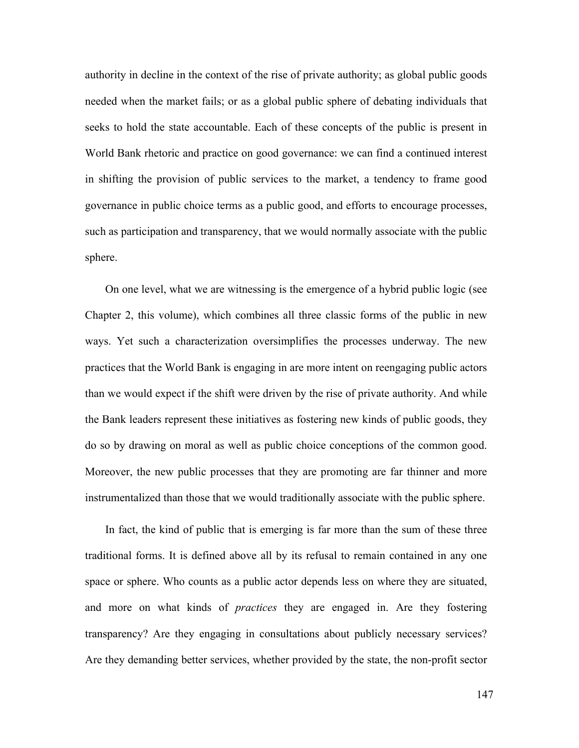authority in decline in the context of the rise of private authority; as global public goods needed when the market fails; or as a global public sphere of debating individuals that seeks to hold the state accountable. Each of these concepts of the public is present in World Bank rhetoric and practice on good governance: we can find a continued interest in shifting the provision of public services to the market, a tendency to frame good governance in public choice terms as a public good, and efforts to encourage processes, such as participation and transparency, that we would normally associate with the public sphere.

On one level, what we are witnessing is the emergence of a hybrid public logic (see Chapter 2, this volume), which combines all three classic forms of the public in new ways. Yet such a characterization oversimplifies the processes underway. The new practices that the World Bank is engaging in are more intent on reengaging public actors than we would expect if the shift were driven by the rise of private authority. And while the Bank leaders represent these initiatives as fostering new kinds of public goods, they do so by drawing on moral as well as public choice conceptions of the common good. Moreover, the new public processes that they are promoting are far thinner and more instrumentalized than those that we would traditionally associate with the public sphere.

In fact, the kind of public that is emerging is far more than the sum of these three traditional forms. It is defined above all by its refusal to remain contained in any one space or sphere. Who counts as a public actor depends less on where they are situated, and more on what kinds of *practices* they are engaged in. Are they fostering transparency? Are they engaging in consultations about publicly necessary services? Are they demanding better services, whether provided by the state, the non-profit sector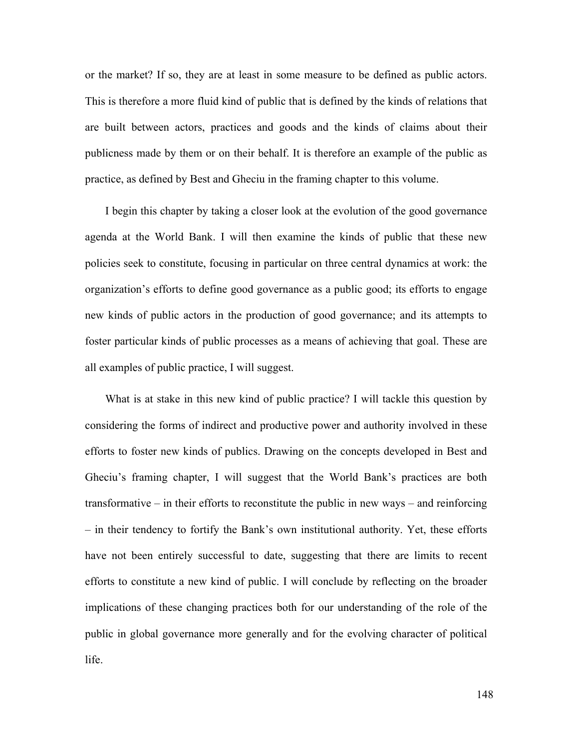or the market? If so, they are at least in some measure to be defined as public actors. This is therefore a more fluid kind of public that is defined by the kinds of relations that are built between actors, practices and goods and the kinds of claims about their publicness made by them or on their behalf. It is therefore an example of the public as practice, as defined by Best and Gheciu in the framing chapter to this volume.

I begin this chapter by taking a closer look at the evolution of the good governance agenda at the World Bank. I will then examine the kinds of public that these new policies seek to constitute, focusing in particular on three central dynamics at work: the organization's efforts to define good governance as a public good; its efforts to engage new kinds of public actors in the production of good governance; and its attempts to foster particular kinds of public processes as a means of achieving that goal. These are all examples of public practice, I will suggest.

What is at stake in this new kind of public practice? I will tackle this question by considering the forms of indirect and productive power and authority involved in these efforts to foster new kinds of publics. Drawing on the concepts developed in Best and Gheciu's framing chapter, I will suggest that the World Bank's practices are both transformative – in their efforts to reconstitute the public in new ways – and reinforcing – in their tendency to fortify the Bank's own institutional authority. Yet, these efforts have not been entirely successful to date, suggesting that there are limits to recent efforts to constitute a new kind of public. I will conclude by reflecting on the broader implications of these changing practices both for our understanding of the role of the public in global governance more generally and for the evolving character of political life.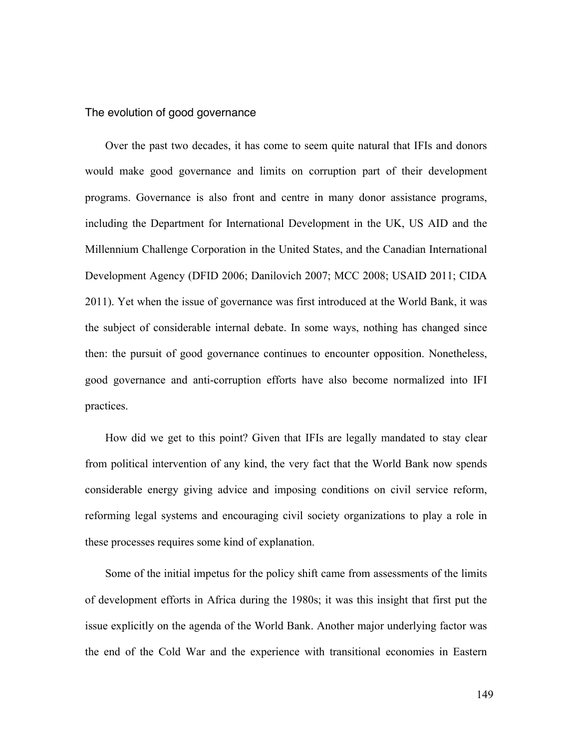#### The evolution of good governance

Over the past two decades, it has come to seem quite natural that IFIs and donors would make good governance and limits on corruption part of their development programs. Governance is also front and centre in many donor assistance programs, including the Department for International Development in the UK, US AID and the Millennium Challenge Corporation in the United States, and the Canadian International Development Agency (DFID 2006; Danilovich 2007; MCC 2008; USAID 2011; CIDA 2011). Yet when the issue of governance was first introduced at the World Bank, it was the subject of considerable internal debate. In some ways, nothing has changed since then: the pursuit of good governance continues to encounter opposition. Nonetheless, good governance and anti-corruption efforts have also become normalized into IFI practices.

How did we get to this point? Given that IFIs are legally mandated to stay clear from political intervention of any kind, the very fact that the World Bank now spends considerable energy giving advice and imposing conditions on civil service reform, reforming legal systems and encouraging civil society organizations to play a role in these processes requires some kind of explanation.

Some of the initial impetus for the policy shift came from assessments of the limits of development efforts in Africa during the 1980s; it was this insight that first put the issue explicitly on the agenda of the World Bank. Another major underlying factor was the end of the Cold War and the experience with transitional economies in Eastern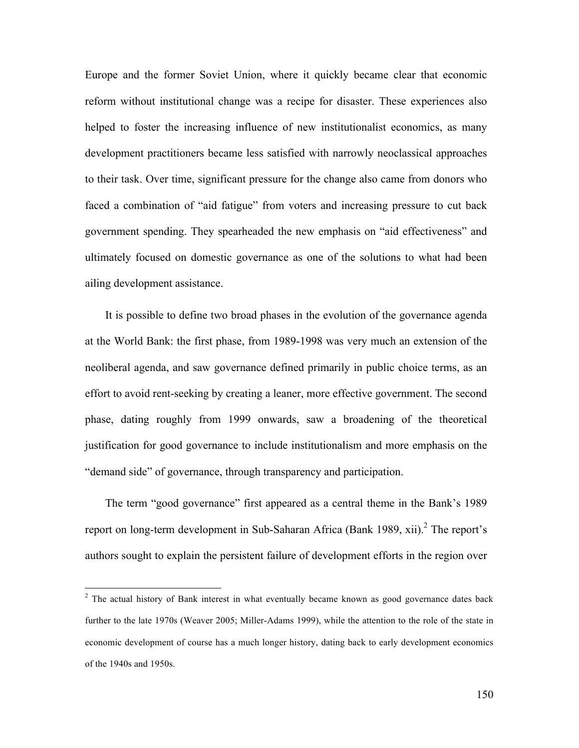Europe and the former Soviet Union, where it quickly became clear that economic reform without institutional change was a recipe for disaster. These experiences also helped to foster the increasing influence of new institutionalist economics, as many development practitioners became less satisfied with narrowly neoclassical approaches to their task. Over time, significant pressure for the change also came from donors who faced a combination of "aid fatigue" from voters and increasing pressure to cut back government spending. They spearheaded the new emphasis on "aid effectiveness" and ultimately focused on domestic governance as one of the solutions to what had been ailing development assistance.

It is possible to define two broad phases in the evolution of the governance agenda at the World Bank: the first phase, from 1989-1998 was very much an extension of the neoliberal agenda, and saw governance defined primarily in public choice terms, as an effort to avoid rent-seeking by creating a leaner, more effective government. The second phase, dating roughly from 1999 onwards, saw a broadening of the theoretical justification for good governance to include institutionalism and more emphasis on the "demand side" of governance, through transparency and participation.

The term "good governance" first appeared as a central theme in the Bank's 1989 report on long-term development in Sub-Saharan Africa (Bank 1989, xii). <sup>2</sup> The report's authors sought to explain the persistent failure of development efforts in the region over

<sup>&</sup>lt;sup>2</sup> The actual history of Bank interest in what eventually became known as good governance dates back further to the late 1970s (Weaver 2005; Miller-Adams 1999), while the attention to the role of the state in economic development of course has a much longer history, dating back to early development economics of the 1940s and 1950s.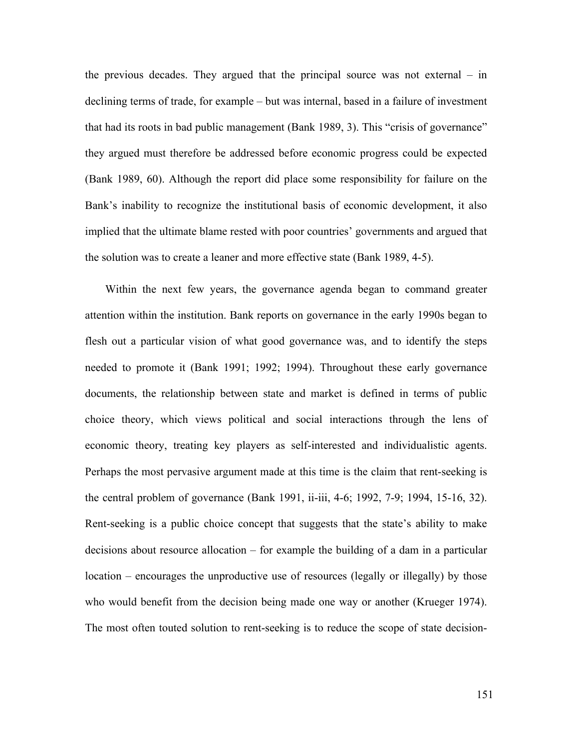the previous decades. They argued that the principal source was not external – in declining terms of trade, for example – but was internal, based in a failure of investment that had its roots in bad public management (Bank 1989, 3). This "crisis of governance" they argued must therefore be addressed before economic progress could be expected (Bank 1989, 60). Although the report did place some responsibility for failure on the Bank's inability to recognize the institutional basis of economic development, it also implied that the ultimate blame rested with poor countries' governments and argued that the solution was to create a leaner and more effective state (Bank 1989, 4-5).

Within the next few years, the governance agenda began to command greater attention within the institution. Bank reports on governance in the early 1990s began to flesh out a particular vision of what good governance was, and to identify the steps needed to promote it (Bank 1991; 1992; 1994). Throughout these early governance documents, the relationship between state and market is defined in terms of public choice theory, which views political and social interactions through the lens of economic theory, treating key players as self-interested and individualistic agents. Perhaps the most pervasive argument made at this time is the claim that rent-seeking is the central problem of governance (Bank 1991, ii-iii, 4-6; 1992, 7-9; 1994, 15-16, 32). Rent-seeking is a public choice concept that suggests that the state's ability to make decisions about resource allocation – for example the building of a dam in a particular location – encourages the unproductive use of resources (legally or illegally) by those who would benefit from the decision being made one way or another (Krueger 1974). The most often touted solution to rent-seeking is to reduce the scope of state decision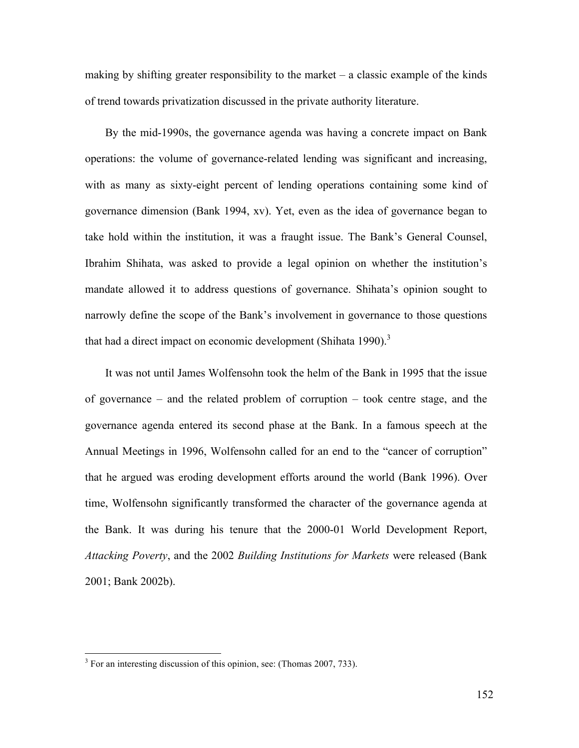making by shifting greater responsibility to the market  $-$  a classic example of the kinds of trend towards privatization discussed in the private authority literature.

By the mid-1990s, the governance agenda was having a concrete impact on Bank operations: the volume of governance-related lending was significant and increasing, with as many as sixty-eight percent of lending operations containing some kind of governance dimension (Bank 1994, xv). Yet, even as the idea of governance began to take hold within the institution, it was a fraught issue. The Bank's General Counsel, Ibrahim Shihata, was asked to provide a legal opinion on whether the institution's mandate allowed it to address questions of governance. Shihata's opinion sought to narrowly define the scope of the Bank's involvement in governance to those questions that had a direct impact on economic development (Shihata 1990).<sup>3</sup>

It was not until James Wolfensohn took the helm of the Bank in 1995 that the issue of governance – and the related problem of corruption – took centre stage, and the governance agenda entered its second phase at the Bank. In a famous speech at the Annual Meetings in 1996, Wolfensohn called for an end to the "cancer of corruption" that he argued was eroding development efforts around the world (Bank 1996). Over time, Wolfensohn significantly transformed the character of the governance agenda at the Bank. It was during his tenure that the 2000-01 World Development Report, *Attacking Poverty*, and the 2002 *Building Institutions for Markets* were released (Bank 2001; Bank 2002b).

 $3$  For an interesting discussion of this opinion, see: (Thomas 2007, 733).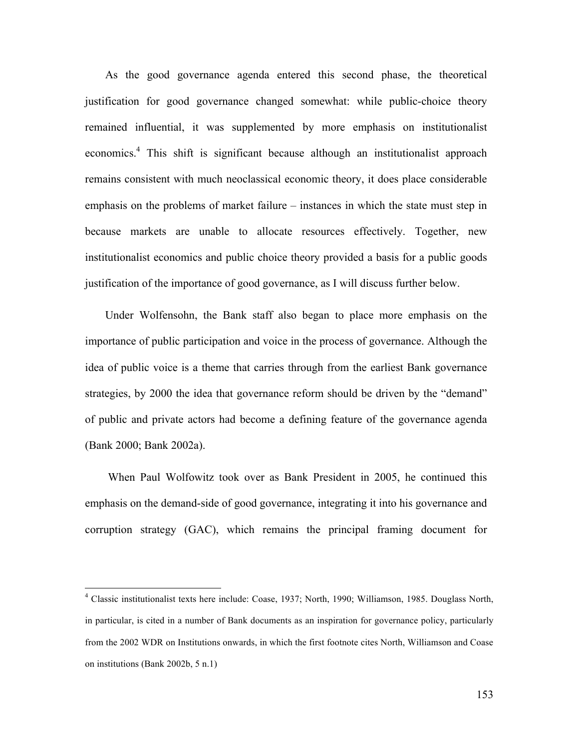As the good governance agenda entered this second phase, the theoretical justification for good governance changed somewhat: while public-choice theory remained influential, it was supplemented by more emphasis on institutionalist economics. <sup>4</sup> This shift is significant because although an institutionalist approach remains consistent with much neoclassical economic theory, it does place considerable emphasis on the problems of market failure – instances in which the state must step in because markets are unable to allocate resources effectively. Together, new institutionalist economics and public choice theory provided a basis for a public goods justification of the importance of good governance, as I will discuss further below.

Under Wolfensohn, the Bank staff also began to place more emphasis on the importance of public participation and voice in the process of governance. Although the idea of public voice is a theme that carries through from the earliest Bank governance strategies, by 2000 the idea that governance reform should be driven by the "demand" of public and private actors had become a defining feature of the governance agenda (Bank 2000; Bank 2002a).

When Paul Wolfowitz took over as Bank President in 2005, he continued this emphasis on the demand-side of good governance, integrating it into his governance and corruption strategy (GAC), which remains the principal framing document for

 <sup>4</sup> Classic institutionalist texts here include: Coase, 1937; North, 1990; Williamson, 1985. Douglass North, in particular, is cited in a number of Bank documents as an inspiration for governance policy, particularly from the 2002 WDR on Institutions onwards, in which the first footnote cites North, Williamson and Coase on institutions (Bank 2002b, 5 n.1)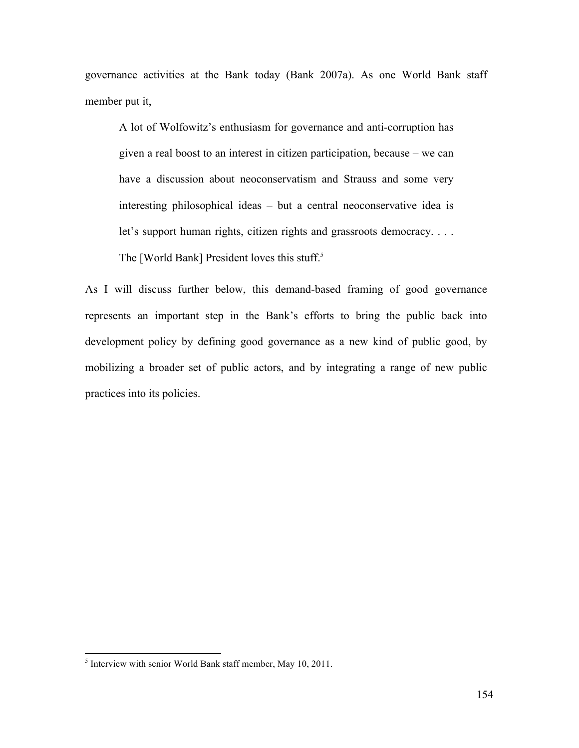governance activities at the Bank today (Bank 2007a). As one World Bank staff member put it,

A lot of Wolfowitz's enthusiasm for governance and anti-corruption has given a real boost to an interest in citizen participation, because – we can have a discussion about neoconservatism and Strauss and some very interesting philosophical ideas – but a central neoconservative idea is let's support human rights, citizen rights and grassroots democracy. . . . The [World Bank] President loves this stuff.<sup>5</sup>

As I will discuss further below, this demand-based framing of good governance represents an important step in the Bank's efforts to bring the public back into development policy by defining good governance as a new kind of public good, by mobilizing a broader set of public actors, and by integrating a range of new public practices into its policies.

 $<sup>5</sup>$  Interview with senior World Bank staff member, May 10, 2011.</sup>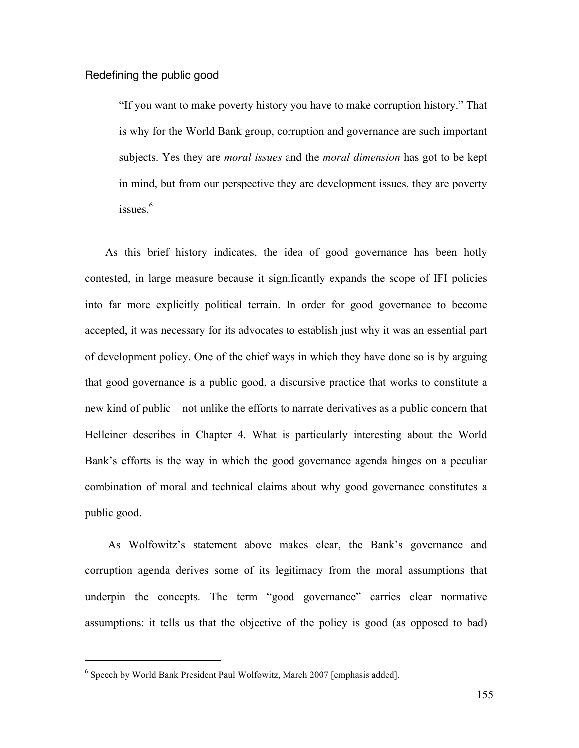### Redefining the public good

"If you want to make poverty history you have to make corruption history." That is why for the World Bank group, corruption and governance are such important subjects. Yes they are *moral issues* and the *moral dimension* has got to be kept in mind, but from our perspective they are development issues, they are poverty issues $6$ 

As this brief history indicates, the idea of good governance has been hotly contested, in large measure because it significantly expands the scope of IFI policies into far more explicitly political terrain. In order for good governance to become accepted, it was necessary for its advocates to establish just why it was an essential part of development policy. One of the chief ways in which they have done so is by arguing that good governance is a public good, a discursive practice that works to constitute a new kind of public – not unlike the efforts to narrate derivatives as a public concern that Helleiner describes in Chapter 4. What is particularly interesting about the World Bank's efforts is the way in which the good governance agenda hinges on a peculiar combination of moral and technical claims about why good governance constitutes a public good.

As Wolfowitz's statement above makes clear, the Bank's governance and corruption agenda derives some of its legitimacy from the moral assumptions that underpin the concepts. The term "good governance" carries clear normative assumptions: it tells us that the objective of the policy is good (as opposed to bad)

 <sup>6</sup> Speech by World Bank President Paul Wolfowitz, March 2007 [emphasis added].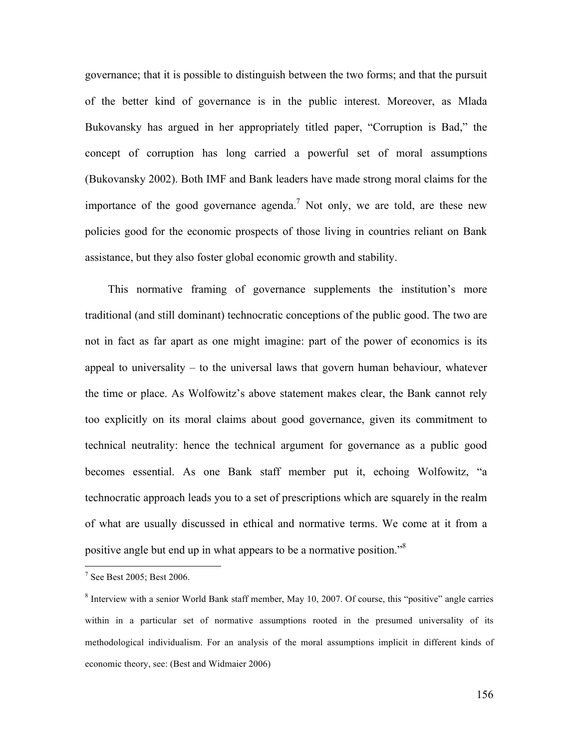governance; that it is possible to distinguish between the two forms; and that the pursuit of the better kind of governance is in the public interest. Moreover, as Mlada Bukovansky has argued in her appropriately titled paper, "Corruption is Bad," the concept of corruption has long carried a powerful set of moral assumptions (Bukovansky 2002). Both IMF and Bank leaders have made strong moral claims for the importance of the good governance agenda.<sup>7</sup> Not only, we are told, are these new policies good for the economic prospects of those living in countries reliant on Bank assistance, but they also foster global economic growth and stability.

This normative framing of governance supplements the institution's more traditional (and still dominant) technocratic conceptions of the public good. The two are not in fact as far apart as one might imagine: part of the power of economics is its appeal to universality – to the universal laws that govern human behaviour, whatever the time or place. As Wolfowitz's above statement makes clear, the Bank cannot rely too explicitly on its moral claims about good governance, given its commitment to technical neutrality: hence the technical argument for governance as a public good becomes essential. As one Bank staff member put it, echoing Wolfowitz, "a technocratic approach leads you to a set of prescriptions which are squarely in the realm of what are usually discussed in ethical and normative terms. We come at it from a positive angle but end up in what appears to be a normative position."<sup>8</sup>

 <sup>7</sup> See Best 2005; Best 2006.

<sup>8</sup> Interview with a senior World Bank staff member, May 10, 2007. Of course, this "positive" angle carries within in a particular set of normative assumptions rooted in the presumed universality of its methodological individualism. For an analysis of the moral assumptions implicit in different kinds of economic theory, see: (Best and Widmaier 2006)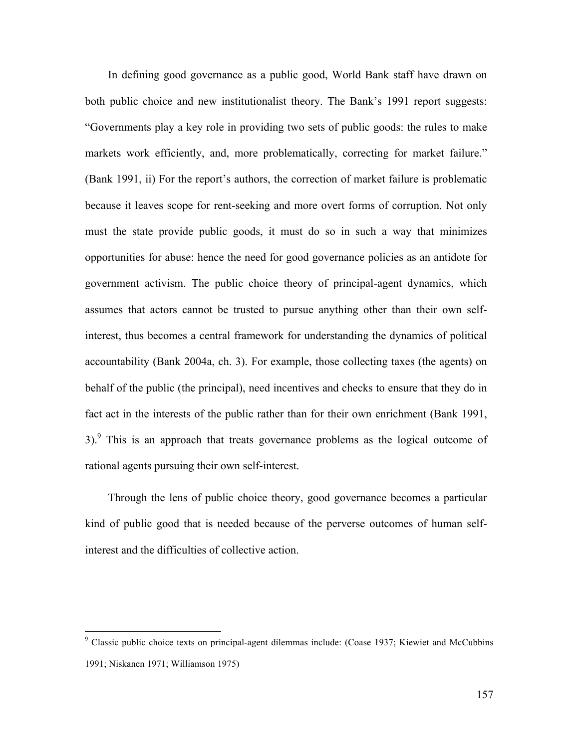In defining good governance as a public good, World Bank staff have drawn on both public choice and new institutionalist theory. The Bank's 1991 report suggests: "Governments play a key role in providing two sets of public goods: the rules to make markets work efficiently, and, more problematically, correcting for market failure." (Bank 1991, ii) For the report's authors, the correction of market failure is problematic because it leaves scope for rent-seeking and more overt forms of corruption. Not only must the state provide public goods, it must do so in such a way that minimizes opportunities for abuse: hence the need for good governance policies as an antidote for government activism. The public choice theory of principal-agent dynamics, which assumes that actors cannot be trusted to pursue anything other than their own selfinterest, thus becomes a central framework for understanding the dynamics of political accountability (Bank 2004a, ch. 3). For example, those collecting taxes (the agents) on behalf of the public (the principal), need incentives and checks to ensure that they do in fact act in the interests of the public rather than for their own enrichment (Bank 1991,  $3)$ .<sup>9</sup> This is an approach that treats governance problems as the logical outcome of rational agents pursuing their own self-interest.

Through the lens of public choice theory, good governance becomes a particular kind of public good that is needed because of the perverse outcomes of human selfinterest and the difficulties of collective action.

 $9$  Classic public choice texts on principal-agent dilemmas include: (Coase 1937; Kiewiet and McCubbins 1991; Niskanen 1971; Williamson 1975)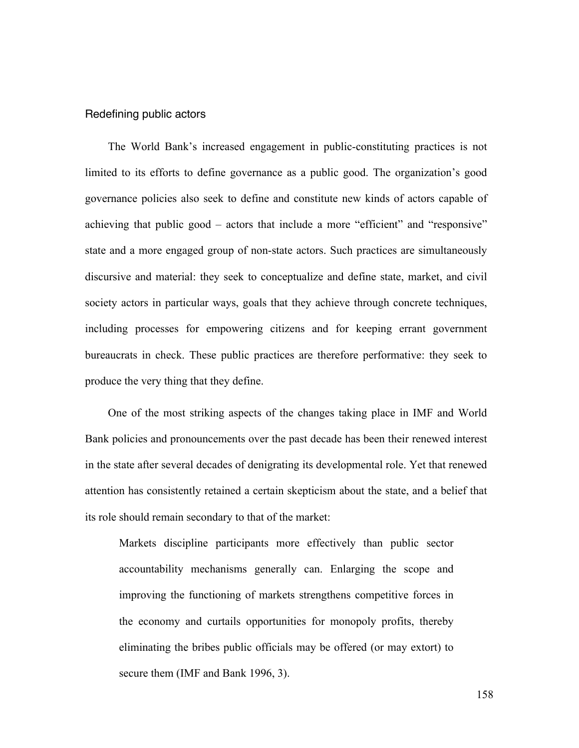### Redefining public actors

The World Bank's increased engagement in public-constituting practices is not limited to its efforts to define governance as a public good. The organization's good governance policies also seek to define and constitute new kinds of actors capable of achieving that public good – actors that include a more "efficient" and "responsive" state and a more engaged group of non-state actors. Such practices are simultaneously discursive and material: they seek to conceptualize and define state, market, and civil society actors in particular ways, goals that they achieve through concrete techniques, including processes for empowering citizens and for keeping errant government bureaucrats in check. These public practices are therefore performative: they seek to produce the very thing that they define.

One of the most striking aspects of the changes taking place in IMF and World Bank policies and pronouncements over the past decade has been their renewed interest in the state after several decades of denigrating its developmental role. Yet that renewed attention has consistently retained a certain skepticism about the state, and a belief that its role should remain secondary to that of the market:

Markets discipline participants more effectively than public sector accountability mechanisms generally can. Enlarging the scope and improving the functioning of markets strengthens competitive forces in the economy and curtails opportunities for monopoly profits, thereby eliminating the bribes public officials may be offered (or may extort) to secure them (IMF and Bank 1996, 3).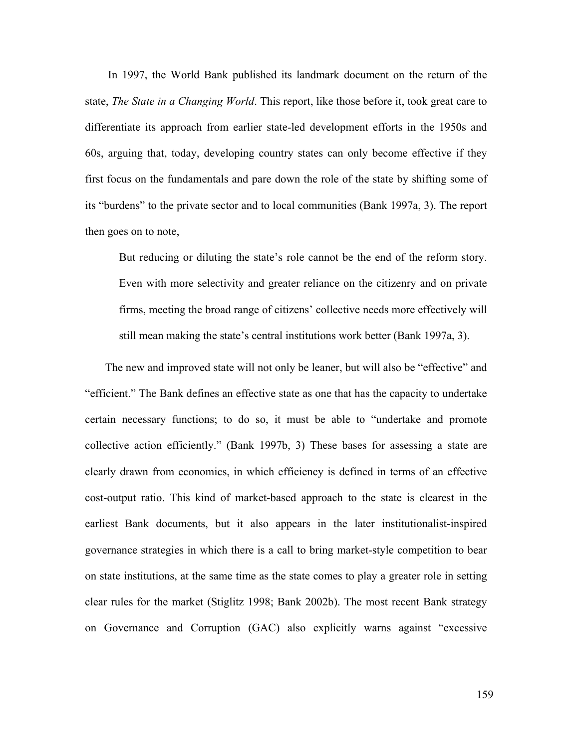In 1997, the World Bank published its landmark document on the return of the state, *The State in a Changing World*. This report, like those before it, took great care to differentiate its approach from earlier state-led development efforts in the 1950s and 60s, arguing that, today, developing country states can only become effective if they first focus on the fundamentals and pare down the role of the state by shifting some of its "burdens" to the private sector and to local communities (Bank 1997a, 3). The report then goes on to note,

But reducing or diluting the state's role cannot be the end of the reform story. Even with more selectivity and greater reliance on the citizenry and on private firms, meeting the broad range of citizens' collective needs more effectively will still mean making the state's central institutions work better (Bank 1997a, 3).

The new and improved state will not only be leaner, but will also be "effective" and "efficient." The Bank defines an effective state as one that has the capacity to undertake certain necessary functions; to do so, it must be able to "undertake and promote collective action efficiently." (Bank 1997b, 3) These bases for assessing a state are clearly drawn from economics, in which efficiency is defined in terms of an effective cost-output ratio. This kind of market-based approach to the state is clearest in the earliest Bank documents, but it also appears in the later institutionalist-inspired governance strategies in which there is a call to bring market-style competition to bear on state institutions, at the same time as the state comes to play a greater role in setting clear rules for the market (Stiglitz 1998; Bank 2002b). The most recent Bank strategy on Governance and Corruption (GAC) also explicitly warns against "excessive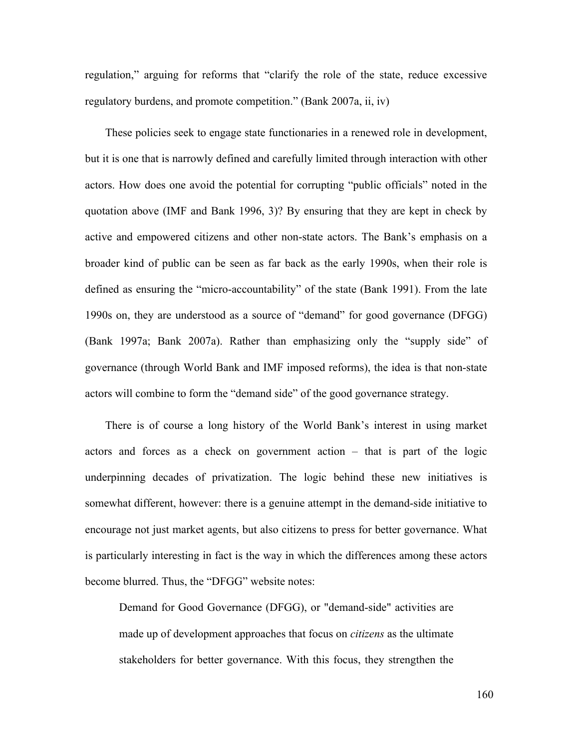regulation," arguing for reforms that "clarify the role of the state, reduce excessive regulatory burdens, and promote competition." (Bank 2007a, ii, iv)

These policies seek to engage state functionaries in a renewed role in development, but it is one that is narrowly defined and carefully limited through interaction with other actors. How does one avoid the potential for corrupting "public officials" noted in the quotation above (IMF and Bank 1996, 3)? By ensuring that they are kept in check by active and empowered citizens and other non-state actors. The Bank's emphasis on a broader kind of public can be seen as far back as the early 1990s, when their role is defined as ensuring the "micro-accountability" of the state (Bank 1991). From the late 1990s on, they are understood as a source of "demand" for good governance (DFGG) (Bank 1997a; Bank 2007a). Rather than emphasizing only the "supply side" of governance (through World Bank and IMF imposed reforms), the idea is that non-state actors will combine to form the "demand side" of the good governance strategy.

There is of course a long history of the World Bank's interest in using market actors and forces as a check on government action – that is part of the logic underpinning decades of privatization. The logic behind these new initiatives is somewhat different, however: there is a genuine attempt in the demand-side initiative to encourage not just market agents, but also citizens to press for better governance. What is particularly interesting in fact is the way in which the differences among these actors become blurred. Thus, the "DFGG" website notes:

Demand for Good Governance (DFGG), or "demand-side" activities are made up of development approaches that focus on *citizens* as the ultimate stakeholders for better governance. With this focus, they strengthen the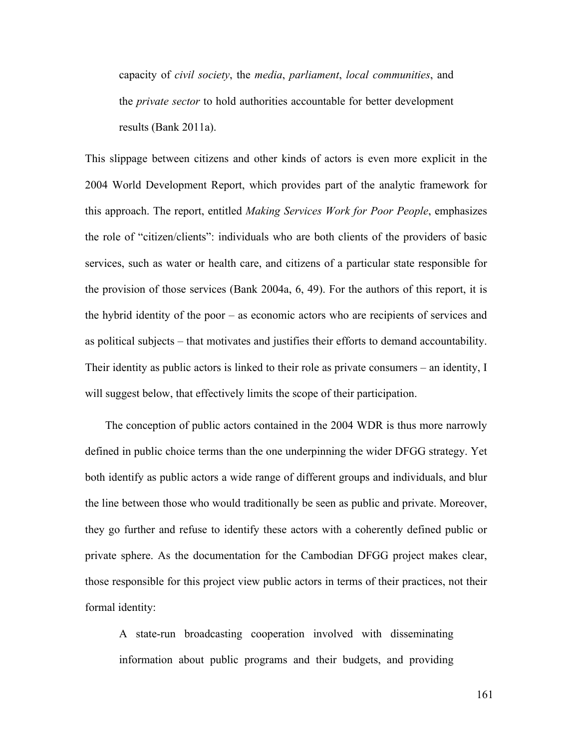capacity of *civil society*, the *media*, *parliament*, *local communities*, and the *private sector* to hold authorities accountable for better development results (Bank 2011a).

This slippage between citizens and other kinds of actors is even more explicit in the 2004 World Development Report, which provides part of the analytic framework for this approach. The report, entitled *Making Services Work for Poor People*, emphasizes the role of "citizen/clients": individuals who are both clients of the providers of basic services, such as water or health care, and citizens of a particular state responsible for the provision of those services (Bank 2004a, 6, 49). For the authors of this report, it is the hybrid identity of the poor – as economic actors who are recipients of services and as political subjects – that motivates and justifies their efforts to demand accountability. Their identity as public actors is linked to their role as private consumers – an identity, I will suggest below, that effectively limits the scope of their participation.

The conception of public actors contained in the 2004 WDR is thus more narrowly defined in public choice terms than the one underpinning the wider DFGG strategy. Yet both identify as public actors a wide range of different groups and individuals, and blur the line between those who would traditionally be seen as public and private. Moreover, they go further and refuse to identify these actors with a coherently defined public or private sphere. As the documentation for the Cambodian DFGG project makes clear, those responsible for this project view public actors in terms of their practices, not their formal identity:

A state-run broadcasting cooperation involved with disseminating information about public programs and their budgets, and providing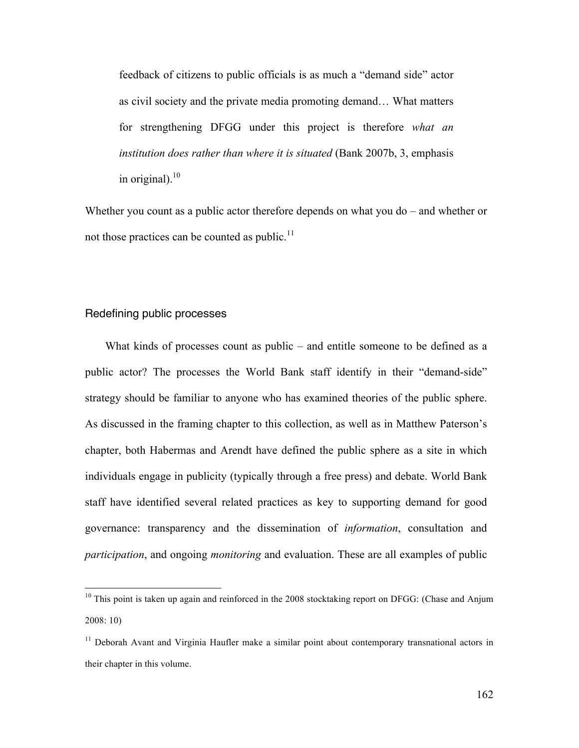feedback of citizens to public officials is as much a "demand side" actor as civil society and the private media promoting demand… What matters for strengthening DFGG under this project is therefore *what an institution does rather than where it is situated* (Bank 2007b, 3, emphasis in original).<sup>10</sup>

Whether you count as a public actor therefore depends on what you do – and whether or not those practices can be counted as public. $^{11}$ 

## Redefining public processes

What kinds of processes count as public – and entitle someone to be defined as a public actor? The processes the World Bank staff identify in their "demand-side" strategy should be familiar to anyone who has examined theories of the public sphere. As discussed in the framing chapter to this collection, as well as in Matthew Paterson's chapter, both Habermas and Arendt have defined the public sphere as a site in which individuals engage in publicity (typically through a free press) and debate. World Bank staff have identified several related practices as key to supporting demand for good governance: transparency and the dissemination of *information*, consultation and *participation*, and ongoing *monitoring* and evaluation. These are all examples of public

<sup>&</sup>lt;sup>10</sup> This point is taken up again and reinforced in the 2008 stocktaking report on DFGG: (Chase and Anjum 2008: 10)

 $11$  Deborah Avant and Virginia Haufler make a similar point about contemporary transnational actors in their chapter in this volume.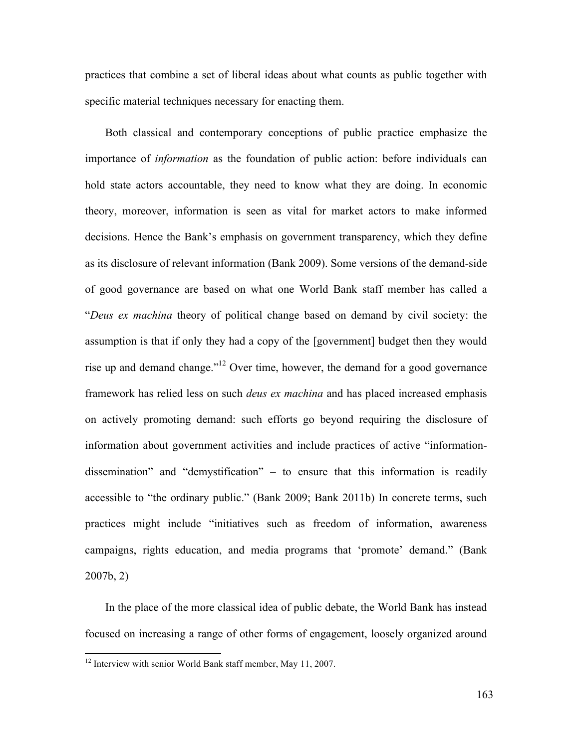practices that combine a set of liberal ideas about what counts as public together with specific material techniques necessary for enacting them.

Both classical and contemporary conceptions of public practice emphasize the importance of *information* as the foundation of public action: before individuals can hold state actors accountable, they need to know what they are doing. In economic theory, moreover, information is seen as vital for market actors to make informed decisions. Hence the Bank's emphasis on government transparency, which they define as its disclosure of relevant information (Bank 2009). Some versions of the demand-side of good governance are based on what one World Bank staff member has called a "*Deus ex machina* theory of political change based on demand by civil society: the assumption is that if only they had a copy of the [government] budget then they would rise up and demand change."12 Over time, however, the demand for a good governance framework has relied less on such *deus ex machina* and has placed increased emphasis on actively promoting demand: such efforts go beyond requiring the disclosure of information about government activities and include practices of active "informationdissemination" and "demystification" – to ensure that this information is readily accessible to "the ordinary public." (Bank 2009; Bank 2011b) In concrete terms, such practices might include "initiatives such as freedom of information, awareness campaigns, rights education, and media programs that 'promote' demand." (Bank 2007b, 2)

In the place of the more classical idea of public debate, the World Bank has instead focused on increasing a range of other forms of engagement, loosely organized around

<sup>&</sup>lt;sup>12</sup> Interview with senior World Bank staff member, May 11, 2007.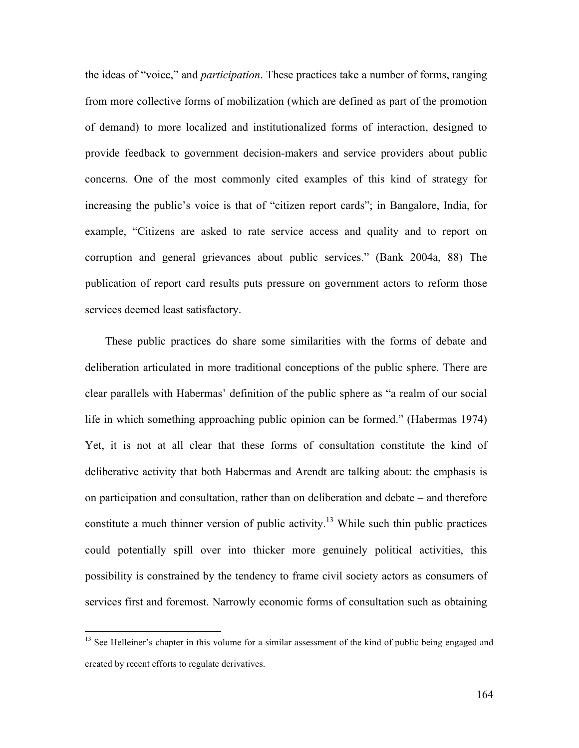the ideas of "voice," and *participation*. These practices take a number of forms, ranging from more collective forms of mobilization (which are defined as part of the promotion of demand) to more localized and institutionalized forms of interaction, designed to provide feedback to government decision-makers and service providers about public concerns. One of the most commonly cited examples of this kind of strategy for increasing the public's voice is that of "citizen report cards"; in Bangalore, India, for example, "Citizens are asked to rate service access and quality and to report on corruption and general grievances about public services." (Bank 2004a, 88) The publication of report card results puts pressure on government actors to reform those services deemed least satisfactory.

These public practices do share some similarities with the forms of debate and deliberation articulated in more traditional conceptions of the public sphere. There are clear parallels with Habermas' definition of the public sphere as "a realm of our social life in which something approaching public opinion can be formed." (Habermas 1974) Yet, it is not at all clear that these forms of consultation constitute the kind of deliberative activity that both Habermas and Arendt are talking about: the emphasis is on participation and consultation, rather than on deliberation and debate – and therefore constitute a much thinner version of public activity.<sup>13</sup> While such thin public practices could potentially spill over into thicker more genuinely political activities, this possibility is constrained by the tendency to frame civil society actors as consumers of services first and foremost. Narrowly economic forms of consultation such as obtaining

<sup>&</sup>lt;sup>13</sup> See Helleiner's chapter in this volume for a similar assessment of the kind of public being engaged and created by recent efforts to regulate derivatives.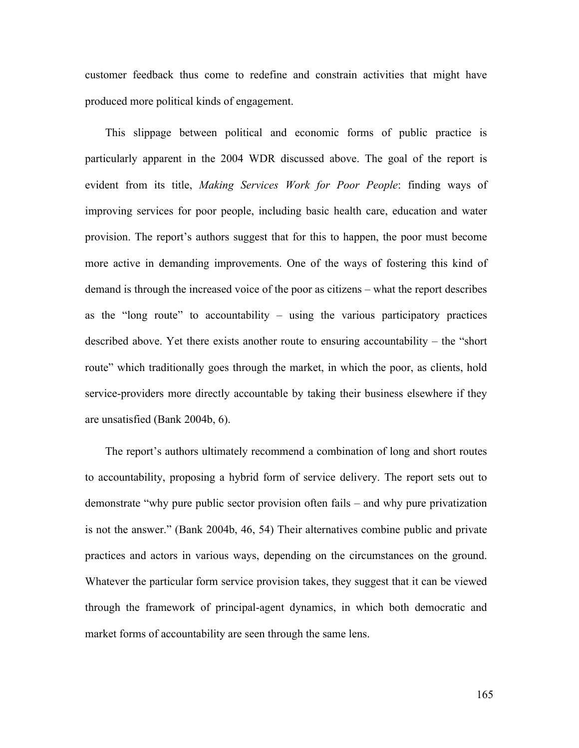customer feedback thus come to redefine and constrain activities that might have produced more political kinds of engagement.

This slippage between political and economic forms of public practice is particularly apparent in the 2004 WDR discussed above. The goal of the report is evident from its title, *Making Services Work for Poor People*: finding ways of improving services for poor people, including basic health care, education and water provision. The report's authors suggest that for this to happen, the poor must become more active in demanding improvements. One of the ways of fostering this kind of demand is through the increased voice of the poor as citizens – what the report describes as the "long route" to accountability – using the various participatory practices described above. Yet there exists another route to ensuring accountability – the "short route" which traditionally goes through the market, in which the poor, as clients, hold service-providers more directly accountable by taking their business elsewhere if they are unsatisfied (Bank 2004b, 6).

The report's authors ultimately recommend a combination of long and short routes to accountability, proposing a hybrid form of service delivery. The report sets out to demonstrate "why pure public sector provision often fails – and why pure privatization is not the answer." (Bank 2004b, 46, 54) Their alternatives combine public and private practices and actors in various ways, depending on the circumstances on the ground. Whatever the particular form service provision takes, they suggest that it can be viewed through the framework of principal-agent dynamics, in which both democratic and market forms of accountability are seen through the same lens.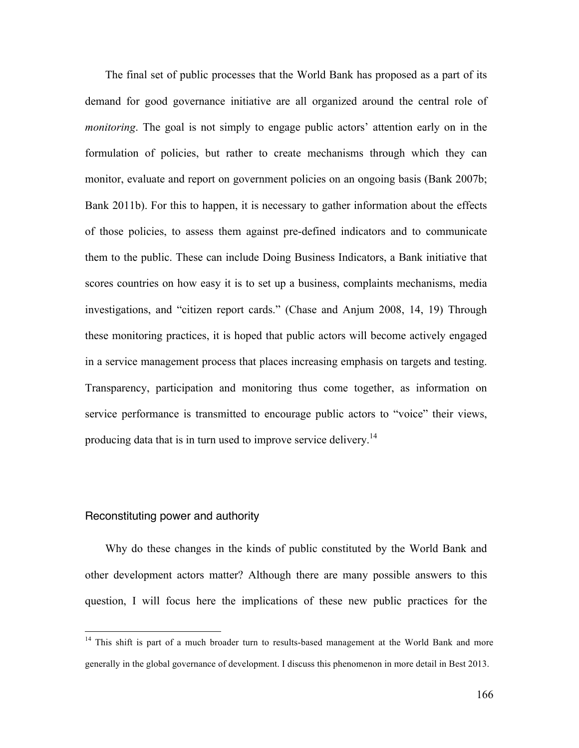The final set of public processes that the World Bank has proposed as a part of its demand for good governance initiative are all organized around the central role of *monitoring*. The goal is not simply to engage public actors' attention early on in the formulation of policies, but rather to create mechanisms through which they can monitor, evaluate and report on government policies on an ongoing basis (Bank 2007b; Bank 2011b). For this to happen, it is necessary to gather information about the effects of those policies, to assess them against pre-defined indicators and to communicate them to the public. These can include Doing Business Indicators, a Bank initiative that scores countries on how easy it is to set up a business, complaints mechanisms, media investigations, and "citizen report cards." (Chase and Anjum 2008, 14, 19) Through these monitoring practices, it is hoped that public actors will become actively engaged in a service management process that places increasing emphasis on targets and testing. Transparency, participation and monitoring thus come together, as information on service performance is transmitted to encourage public actors to "voice" their views, producing data that is in turn used to improve service delivery.<sup>14</sup>

### Reconstituting power and authority

Why do these changes in the kinds of public constituted by the World Bank and other development actors matter? Although there are many possible answers to this question, I will focus here the implications of these new public practices for the

<sup>&</sup>lt;sup>14</sup> This shift is part of a much broader turn to results-based management at the World Bank and more generally in the global governance of development. I discuss this phenomenon in more detail in Best 2013.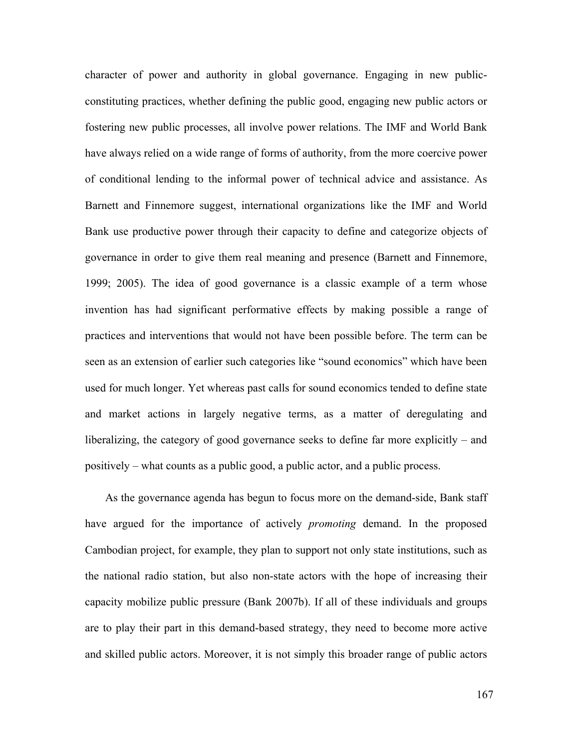character of power and authority in global governance. Engaging in new publicconstituting practices, whether defining the public good, engaging new public actors or fostering new public processes, all involve power relations. The IMF and World Bank have always relied on a wide range of forms of authority, from the more coercive power of conditional lending to the informal power of technical advice and assistance. As Barnett and Finnemore suggest, international organizations like the IMF and World Bank use productive power through their capacity to define and categorize objects of governance in order to give them real meaning and presence (Barnett and Finnemore, 1999; 2005). The idea of good governance is a classic example of a term whose invention has had significant performative effects by making possible a range of practices and interventions that would not have been possible before. The term can be seen as an extension of earlier such categories like "sound economics" which have been used for much longer. Yet whereas past calls for sound economics tended to define state and market actions in largely negative terms, as a matter of deregulating and liberalizing, the category of good governance seeks to define far more explicitly – and positively – what counts as a public good, a public actor, and a public process.

As the governance agenda has begun to focus more on the demand-side, Bank staff have argued for the importance of actively *promoting* demand. In the proposed Cambodian project, for example, they plan to support not only state institutions, such as the national radio station, but also non-state actors with the hope of increasing their capacity mobilize public pressure (Bank 2007b). If all of these individuals and groups are to play their part in this demand-based strategy, they need to become more active and skilled public actors. Moreover, it is not simply this broader range of public actors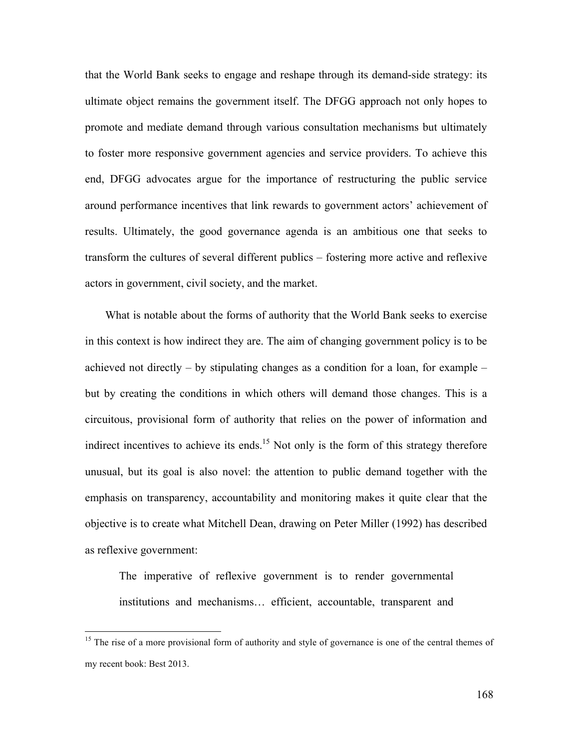that the World Bank seeks to engage and reshape through its demand-side strategy: its ultimate object remains the government itself. The DFGG approach not only hopes to promote and mediate demand through various consultation mechanisms but ultimately to foster more responsive government agencies and service providers. To achieve this end, DFGG advocates argue for the importance of restructuring the public service around performance incentives that link rewards to government actors' achievement of results. Ultimately, the good governance agenda is an ambitious one that seeks to transform the cultures of several different publics – fostering more active and reflexive actors in government, civil society, and the market.

What is notable about the forms of authority that the World Bank seeks to exercise in this context is how indirect they are. The aim of changing government policy is to be achieved not directly  $-$  by stipulating changes as a condition for a loan, for example  $$ but by creating the conditions in which others will demand those changes. This is a circuitous, provisional form of authority that relies on the power of information and indirect incentives to achieve its ends.<sup>15</sup> Not only is the form of this strategy therefore unusual, but its goal is also novel: the attention to public demand together with the emphasis on transparency, accountability and monitoring makes it quite clear that the objective is to create what Mitchell Dean, drawing on Peter Miller (1992) has described as reflexive government:

The imperative of reflexive government is to render governmental institutions and mechanisms… efficient, accountable, transparent and

<sup>&</sup>lt;sup>15</sup> The rise of a more provisional form of authority and style of governance is one of the central themes of my recent book: Best 2013.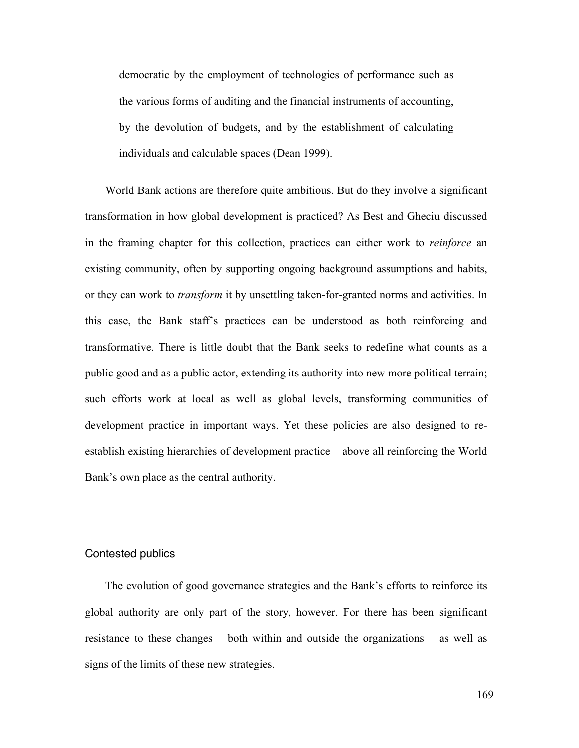democratic by the employment of technologies of performance such as the various forms of auditing and the financial instruments of accounting, by the devolution of budgets, and by the establishment of calculating individuals and calculable spaces (Dean 1999).

World Bank actions are therefore quite ambitious. But do they involve a significant transformation in how global development is practiced? As Best and Gheciu discussed in the framing chapter for this collection, practices can either work to *reinforce* an existing community, often by supporting ongoing background assumptions and habits, or they can work to *transform* it by unsettling taken-for-granted norms and activities. In this case, the Bank staff's practices can be understood as both reinforcing and transformative. There is little doubt that the Bank seeks to redefine what counts as a public good and as a public actor, extending its authority into new more political terrain; such efforts work at local as well as global levels, transforming communities of development practice in important ways. Yet these policies are also designed to reestablish existing hierarchies of development practice – above all reinforcing the World Bank's own place as the central authority.

### Contested publics

The evolution of good governance strategies and the Bank's efforts to reinforce its global authority are only part of the story, however. For there has been significant resistance to these changes – both within and outside the organizations – as well as signs of the limits of these new strategies.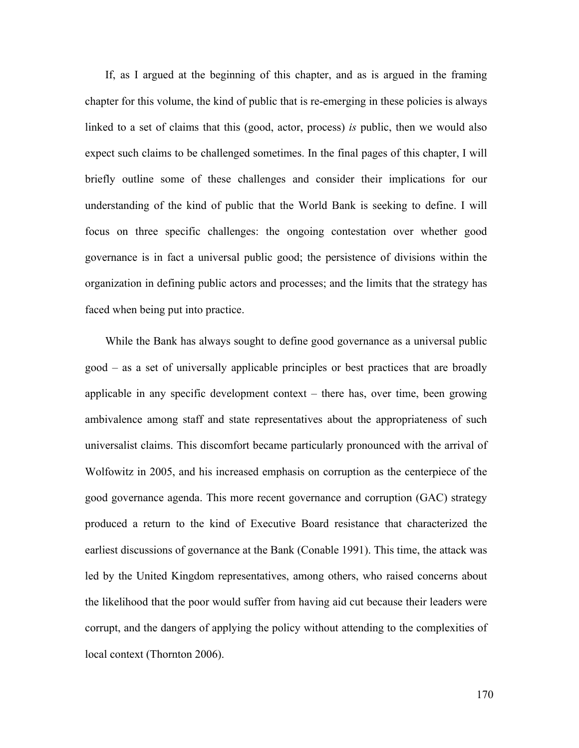If, as I argued at the beginning of this chapter, and as is argued in the framing chapter for this volume, the kind of public that is re-emerging in these policies is always linked to a set of claims that this (good, actor, process) *is* public, then we would also expect such claims to be challenged sometimes. In the final pages of this chapter, I will briefly outline some of these challenges and consider their implications for our understanding of the kind of public that the World Bank is seeking to define. I will focus on three specific challenges: the ongoing contestation over whether good governance is in fact a universal public good; the persistence of divisions within the organization in defining public actors and processes; and the limits that the strategy has faced when being put into practice.

While the Bank has always sought to define good governance as a universal public good – as a set of universally applicable principles or best practices that are broadly applicable in any specific development context – there has, over time, been growing ambivalence among staff and state representatives about the appropriateness of such universalist claims. This discomfort became particularly pronounced with the arrival of Wolfowitz in 2005, and his increased emphasis on corruption as the centerpiece of the good governance agenda. This more recent governance and corruption (GAC) strategy produced a return to the kind of Executive Board resistance that characterized the earliest discussions of governance at the Bank (Conable 1991). This time, the attack was led by the United Kingdom representatives, among others, who raised concerns about the likelihood that the poor would suffer from having aid cut because their leaders were corrupt, and the dangers of applying the policy without attending to the complexities of local context (Thornton 2006).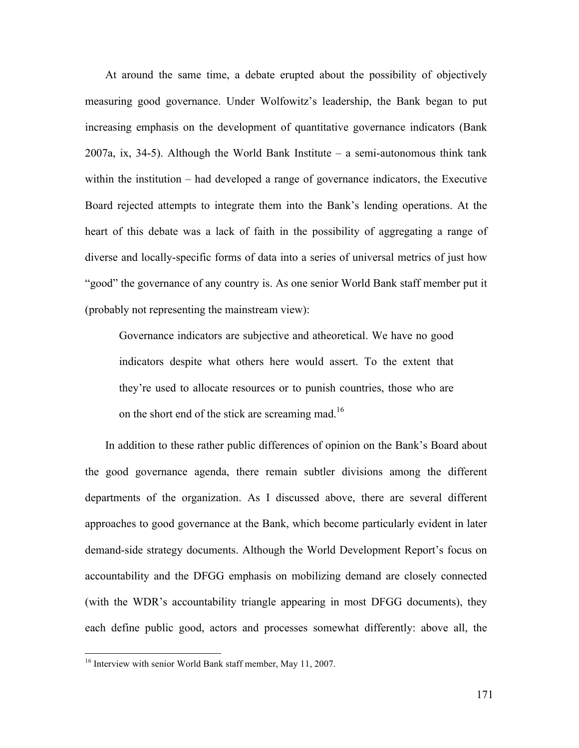At around the same time, a debate erupted about the possibility of objectively measuring good governance. Under Wolfowitz's leadership, the Bank began to put increasing emphasis on the development of quantitative governance indicators (Bank 2007a, ix, 34-5). Although the World Bank Institute – a semi-autonomous think tank within the institution – had developed a range of governance indicators, the Executive Board rejected attempts to integrate them into the Bank's lending operations. At the heart of this debate was a lack of faith in the possibility of aggregating a range of diverse and locally-specific forms of data into a series of universal metrics of just how "good" the governance of any country is. As one senior World Bank staff member put it (probably not representing the mainstream view):

Governance indicators are subjective and atheoretical. We have no good indicators despite what others here would assert. To the extent that they're used to allocate resources or to punish countries, those who are on the short end of the stick are screaming mad.<sup>16</sup>

In addition to these rather public differences of opinion on the Bank's Board about the good governance agenda, there remain subtler divisions among the different departments of the organization. As I discussed above, there are several different approaches to good governance at the Bank, which become particularly evident in later demand-side strategy documents. Although the World Development Report's focus on accountability and the DFGG emphasis on mobilizing demand are closely connected (with the WDR's accountability triangle appearing in most DFGG documents), they each define public good, actors and processes somewhat differently: above all, the

<sup>&</sup>lt;sup>16</sup> Interview with senior World Bank staff member, May 11, 2007.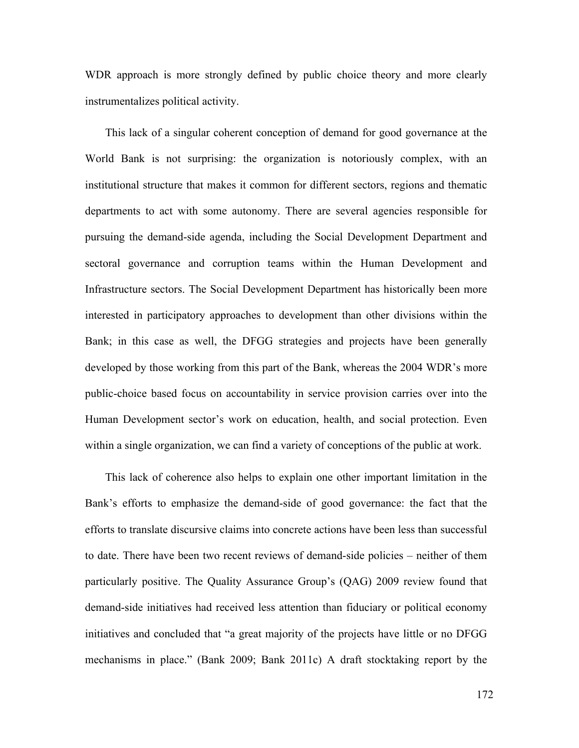WDR approach is more strongly defined by public choice theory and more clearly instrumentalizes political activity.

This lack of a singular coherent conception of demand for good governance at the World Bank is not surprising: the organization is notoriously complex, with an institutional structure that makes it common for different sectors, regions and thematic departments to act with some autonomy. There are several agencies responsible for pursuing the demand-side agenda, including the Social Development Department and sectoral governance and corruption teams within the Human Development and Infrastructure sectors. The Social Development Department has historically been more interested in participatory approaches to development than other divisions within the Bank; in this case as well, the DFGG strategies and projects have been generally developed by those working from this part of the Bank, whereas the 2004 WDR's more public-choice based focus on accountability in service provision carries over into the Human Development sector's work on education, health, and social protection. Even within a single organization, we can find a variety of conceptions of the public at work.

This lack of coherence also helps to explain one other important limitation in the Bank's efforts to emphasize the demand-side of good governance: the fact that the efforts to translate discursive claims into concrete actions have been less than successful to date. There have been two recent reviews of demand-side policies – neither of them particularly positive. The Quality Assurance Group's (QAG) 2009 review found that demand-side initiatives had received less attention than fiduciary or political economy initiatives and concluded that "a great majority of the projects have little or no DFGG mechanisms in place." (Bank 2009; Bank 2011c) A draft stocktaking report by the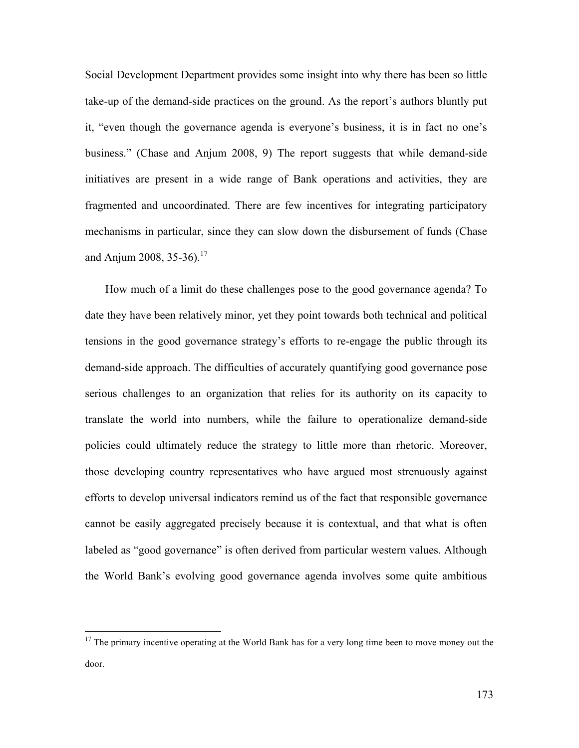Social Development Department provides some insight into why there has been so little take-up of the demand-side practices on the ground. As the report's authors bluntly put it, "even though the governance agenda is everyone's business, it is in fact no one's business." (Chase and Anjum 2008, 9) The report suggests that while demand-side initiatives are present in a wide range of Bank operations and activities, they are fragmented and uncoordinated. There are few incentives for integrating participatory mechanisms in particular, since they can slow down the disbursement of funds (Chase and Anjum 2008, 35-36).<sup>17</sup>

How much of a limit do these challenges pose to the good governance agenda? To date they have been relatively minor, yet they point towards both technical and political tensions in the good governance strategy's efforts to re-engage the public through its demand-side approach. The difficulties of accurately quantifying good governance pose serious challenges to an organization that relies for its authority on its capacity to translate the world into numbers, while the failure to operationalize demand-side policies could ultimately reduce the strategy to little more than rhetoric. Moreover, those developing country representatives who have argued most strenuously against efforts to develop universal indicators remind us of the fact that responsible governance cannot be easily aggregated precisely because it is contextual, and that what is often labeled as "good governance" is often derived from particular western values. Although the World Bank's evolving good governance agenda involves some quite ambitious

<sup>&</sup>lt;sup>17</sup> The primary incentive operating at the World Bank has for a very long time been to move money out the door.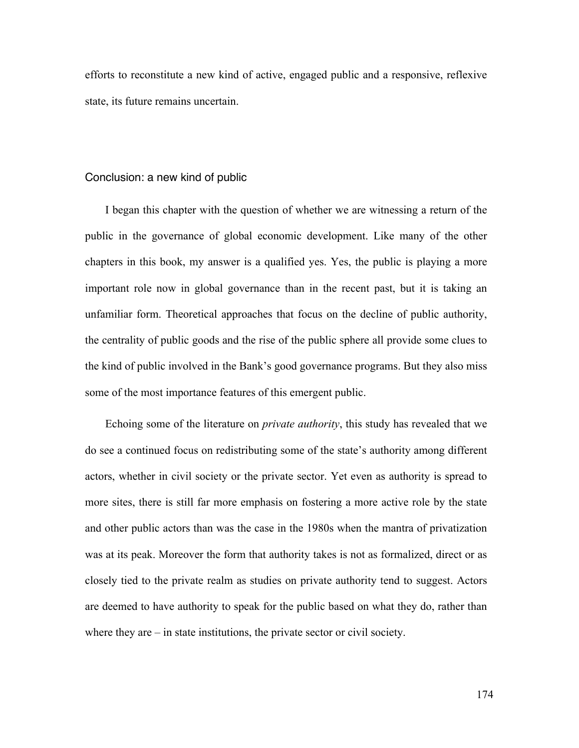efforts to reconstitute a new kind of active, engaged public and a responsive, reflexive state, its future remains uncertain.

#### Conclusion: a new kind of public

I began this chapter with the question of whether we are witnessing a return of the public in the governance of global economic development. Like many of the other chapters in this book, my answer is a qualified yes. Yes, the public is playing a more important role now in global governance than in the recent past, but it is taking an unfamiliar form. Theoretical approaches that focus on the decline of public authority, the centrality of public goods and the rise of the public sphere all provide some clues to the kind of public involved in the Bank's good governance programs. But they also miss some of the most importance features of this emergent public.

Echoing some of the literature on *private authority*, this study has revealed that we do see a continued focus on redistributing some of the state's authority among different actors, whether in civil society or the private sector. Yet even as authority is spread to more sites, there is still far more emphasis on fostering a more active role by the state and other public actors than was the case in the 1980s when the mantra of privatization was at its peak. Moreover the form that authority takes is not as formalized, direct or as closely tied to the private realm as studies on private authority tend to suggest. Actors are deemed to have authority to speak for the public based on what they do, rather than where they are – in state institutions, the private sector or civil society.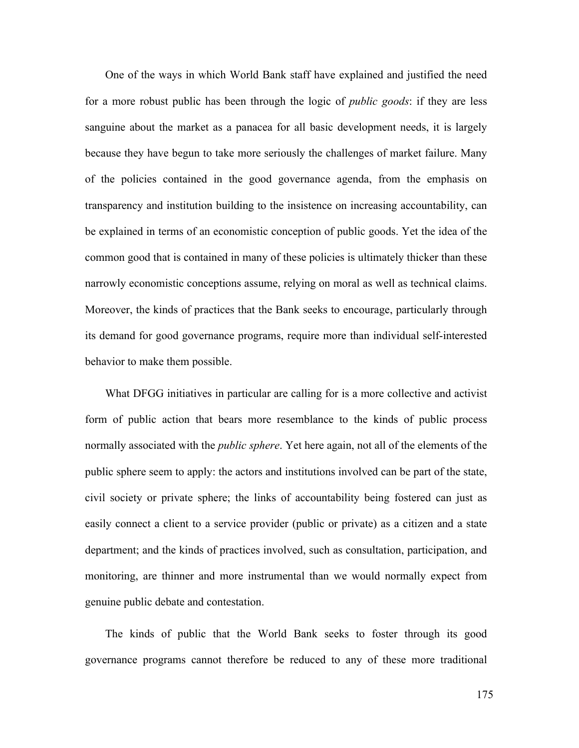One of the ways in which World Bank staff have explained and justified the need for a more robust public has been through the logic of *public goods*: if they are less sanguine about the market as a panacea for all basic development needs, it is largely because they have begun to take more seriously the challenges of market failure. Many of the policies contained in the good governance agenda, from the emphasis on transparency and institution building to the insistence on increasing accountability, can be explained in terms of an economistic conception of public goods. Yet the idea of the common good that is contained in many of these policies is ultimately thicker than these narrowly economistic conceptions assume, relying on moral as well as technical claims. Moreover, the kinds of practices that the Bank seeks to encourage, particularly through its demand for good governance programs, require more than individual self-interested behavior to make them possible.

What DFGG initiatives in particular are calling for is a more collective and activist form of public action that bears more resemblance to the kinds of public process normally associated with the *public sphere*. Yet here again, not all of the elements of the public sphere seem to apply: the actors and institutions involved can be part of the state, civil society or private sphere; the links of accountability being fostered can just as easily connect a client to a service provider (public or private) as a citizen and a state department; and the kinds of practices involved, such as consultation, participation, and monitoring, are thinner and more instrumental than we would normally expect from genuine public debate and contestation.

The kinds of public that the World Bank seeks to foster through its good governance programs cannot therefore be reduced to any of these more traditional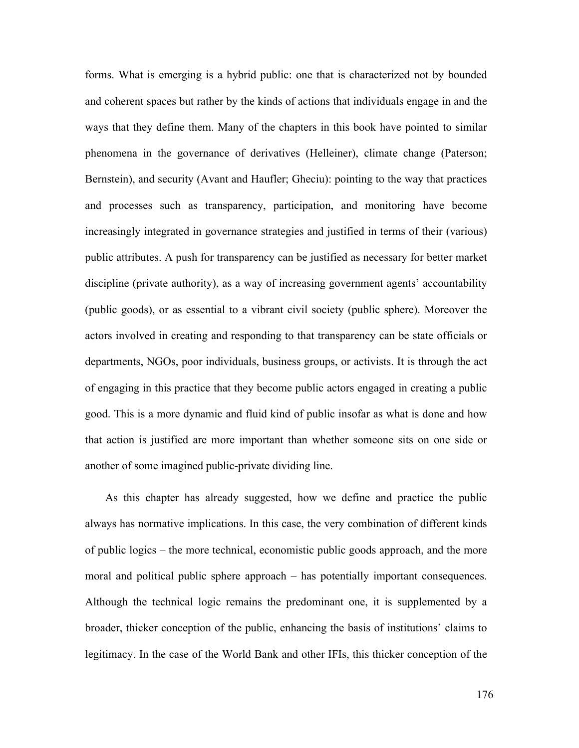forms. What is emerging is a hybrid public: one that is characterized not by bounded and coherent spaces but rather by the kinds of actions that individuals engage in and the ways that they define them. Many of the chapters in this book have pointed to similar phenomena in the governance of derivatives (Helleiner), climate change (Paterson; Bernstein), and security (Avant and Haufler; Gheciu): pointing to the way that practices and processes such as transparency, participation, and monitoring have become increasingly integrated in governance strategies and justified in terms of their (various) public attributes. A push for transparency can be justified as necessary for better market discipline (private authority), as a way of increasing government agents' accountability (public goods), or as essential to a vibrant civil society (public sphere). Moreover the actors involved in creating and responding to that transparency can be state officials or departments, NGOs, poor individuals, business groups, or activists. It is through the act of engaging in this practice that they become public actors engaged in creating a public good. This is a more dynamic and fluid kind of public insofar as what is done and how that action is justified are more important than whether someone sits on one side or another of some imagined public-private dividing line.

As this chapter has already suggested, how we define and practice the public always has normative implications. In this case, the very combination of different kinds of public logics – the more technical, economistic public goods approach, and the more moral and political public sphere approach – has potentially important consequences. Although the technical logic remains the predominant one, it is supplemented by a broader, thicker conception of the public, enhancing the basis of institutions' claims to legitimacy. In the case of the World Bank and other IFIs, this thicker conception of the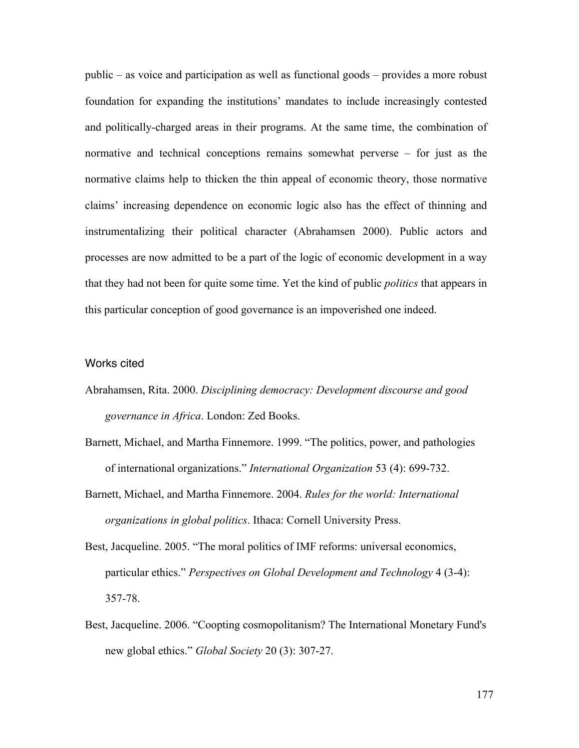public – as voice and participation as well as functional goods – provides a more robust foundation for expanding the institutions' mandates to include increasingly contested and politically-charged areas in their programs. At the same time, the combination of normative and technical conceptions remains somewhat perverse – for just as the normative claims help to thicken the thin appeal of economic theory, those normative claims' increasing dependence on economic logic also has the effect of thinning and instrumentalizing their political character (Abrahamsen 2000). Public actors and processes are now admitted to be a part of the logic of economic development in a way that they had not been for quite some time. Yet the kind of public *politics* that appears in this particular conception of good governance is an impoverished one indeed.

### Works cited

- Abrahamsen, Rita. 2000. *Disciplining democracy: Development discourse and good governance in Africa*. London: Zed Books.
- Barnett, Michael, and Martha Finnemore. 1999. "The politics, power, and pathologies of international organizations." *International Organization* 53 (4): 699-732.
- Barnett, Michael, and Martha Finnemore. 2004. *Rules for the world: International organizations in global politics*. Ithaca: Cornell University Press.
- Best, Jacqueline. 2005. "The moral politics of IMF reforms: universal economics, particular ethics." *Perspectives on Global Development and Technology* 4 (3-4): 357-78.
- Best, Jacqueline. 2006. "Coopting cosmopolitanism? The International Monetary Fund's new global ethics." *Global Society* 20 (3): 307-27.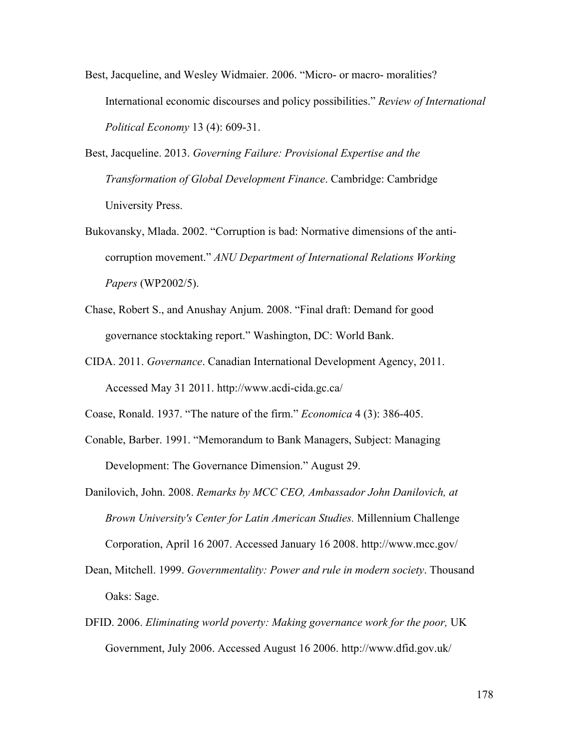- Best, Jacqueline, and Wesley Widmaier. 2006. "Micro- or macro- moralities? International economic discourses and policy possibilities." *Review of International Political Economy* 13 (4): 609-31.
- Best, Jacqueline. 2013. *Governing Failure: Provisional Expertise and the Transformation of Global Development Finance*. Cambridge: Cambridge University Press.
- Bukovansky, Mlada. 2002. "Corruption is bad: Normative dimensions of the anticorruption movement." *ANU Department of International Relations Working Papers* (WP2002/5).
- Chase, Robert S., and Anushay Anjum. 2008. "Final draft: Demand for good governance stocktaking report." Washington, DC: World Bank.
- CIDA. 2011. *Governance*. Canadian International Development Agency, 2011. Accessed May 31 2011. http://www.acdi-cida.gc.ca/
- Coase, Ronald. 1937. "The nature of the firm." *Economica* 4 (3): 386-405.
- Conable, Barber. 1991. "Memorandum to Bank Managers, Subject: Managing Development: The Governance Dimension." August 29.
- Danilovich, John. 2008. *Remarks by MCC CEO, Ambassador John Danilovich, at Brown University's Center for Latin American Studies.* Millennium Challenge Corporation, April 16 2007. Accessed January 16 2008. http://www.mcc.gov/
- Dean, Mitchell. 1999. *Governmentality: Power and rule in modern society*. Thousand Oaks: Sage.
- DFID. 2006. *Eliminating world poverty: Making governance work for the poor,* UK Government, July 2006. Accessed August 16 2006. http://www.dfid.gov.uk/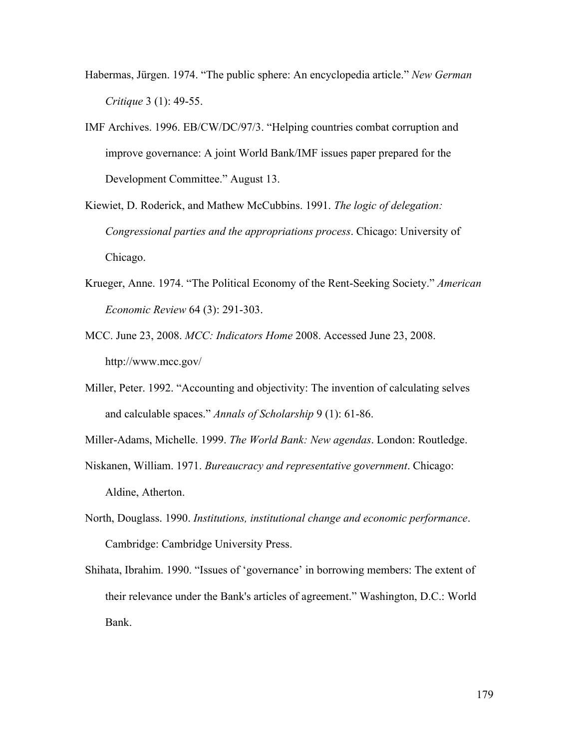- Habermas, Jürgen. 1974. "The public sphere: An encyclopedia article." *New German Critique* 3 (1): 49-55.
- IMF Archives. 1996. EB/CW/DC/97/3. "Helping countries combat corruption and improve governance: A joint World Bank/IMF issues paper prepared for the Development Committee." August 13.

Kiewiet, D. Roderick, and Mathew McCubbins. 1991. *The logic of delegation: Congressional parties and the appropriations process*. Chicago: University of Chicago.

- Krueger, Anne. 1974. "The Political Economy of the Rent-Seeking Society." *American Economic Review* 64 (3): 291-303.
- MCC. June 23, 2008. *MCC: Indicators Home* 2008. Accessed June 23, 2008. http://www.mcc.gov/
- Miller, Peter. 1992. "Accounting and objectivity: The invention of calculating selves and calculable spaces." *Annals of Scholarship* 9 (1): 61-86.

Miller-Adams, Michelle. 1999. *The World Bank: New agendas*. London: Routledge.

- Niskanen, William. 1971. *Bureaucracy and representative government*. Chicago: Aldine, Atherton.
- North, Douglass. 1990. *Institutions, institutional change and economic performance*. Cambridge: Cambridge University Press.
- Shihata, Ibrahim. 1990. "Issues of 'governance' in borrowing members: The extent of their relevance under the Bank's articles of agreement." Washington, D.C.: World Bank.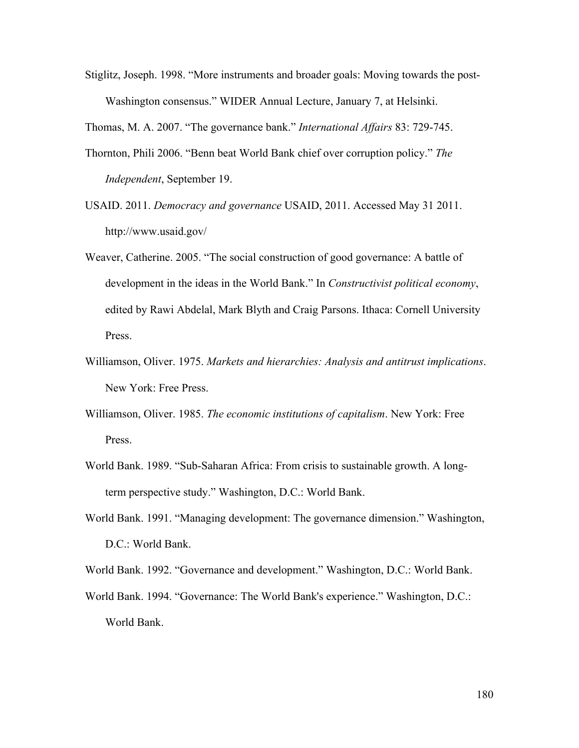Stiglitz, Joseph. 1998. "More instruments and broader goals: Moving towards the post-Washington consensus." WIDER Annual Lecture, January 7, at Helsinki.

Thomas, M. A. 2007. "The governance bank." *International Affairs* 83: 729-745.

- Thornton, Phili 2006. "Benn beat World Bank chief over corruption policy." *The Independent*, September 19.
- USAID. 2011. *Democracy and governance* USAID, 2011. Accessed May 31 2011. http://www.usaid.gov/
- Weaver, Catherine. 2005. "The social construction of good governance: A battle of development in the ideas in the World Bank." In *Constructivist political economy*, edited by Rawi Abdelal, Mark Blyth and Craig Parsons. Ithaca: Cornell University Press.
- Williamson, Oliver. 1975. *Markets and hierarchies: Analysis and antitrust implications*. New York: Free Press.
- Williamson, Oliver. 1985. *The economic institutions of capitalism*. New York: Free Press.
- World Bank. 1989. "Sub-Saharan Africa: From crisis to sustainable growth. A longterm perspective study." Washington, D.C.: World Bank.
- World Bank. 1991. "Managing development: The governance dimension." Washington, D.C.: World Bank.

World Bank. 1992. "Governance and development." Washington, D.C.: World Bank.

World Bank. 1994. "Governance: The World Bank's experience." Washington, D.C.: World Bank.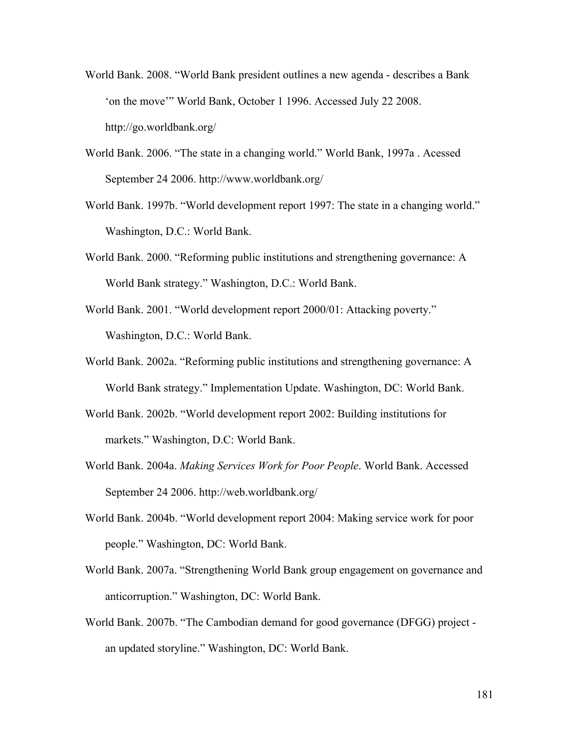- World Bank. 2008. "World Bank president outlines a new agenda describes a Bank 'on the move'" World Bank, October 1 1996. Accessed July 22 2008. http://go.worldbank.org/
- World Bank. 2006. "The state in a changing world." World Bank, 1997a . Acessed September 24 2006. http://www.worldbank.org/
- World Bank. 1997b. "World development report 1997: The state in a changing world." Washington, D.C.: World Bank.
- World Bank. 2000. "Reforming public institutions and strengthening governance: A World Bank strategy." Washington, D.C.: World Bank.
- World Bank. 2001. "World development report 2000/01: Attacking poverty." Washington, D.C.: World Bank.
- World Bank. 2002a. "Reforming public institutions and strengthening governance: A World Bank strategy." Implementation Update. Washington, DC: World Bank.
- World Bank. 2002b. "World development report 2002: Building institutions for markets." Washington, D.C: World Bank.
- World Bank. 2004a. *Making Services Work for Poor People*. World Bank. Accessed September 24 2006. http://web.worldbank.org/
- World Bank. 2004b. "World development report 2004: Making service work for poor people." Washington, DC: World Bank.
- World Bank. 2007a. "Strengthening World Bank group engagement on governance and anticorruption." Washington, DC: World Bank.
- World Bank. 2007b. "The Cambodian demand for good governance (DFGG) project an updated storyline." Washington, DC: World Bank.